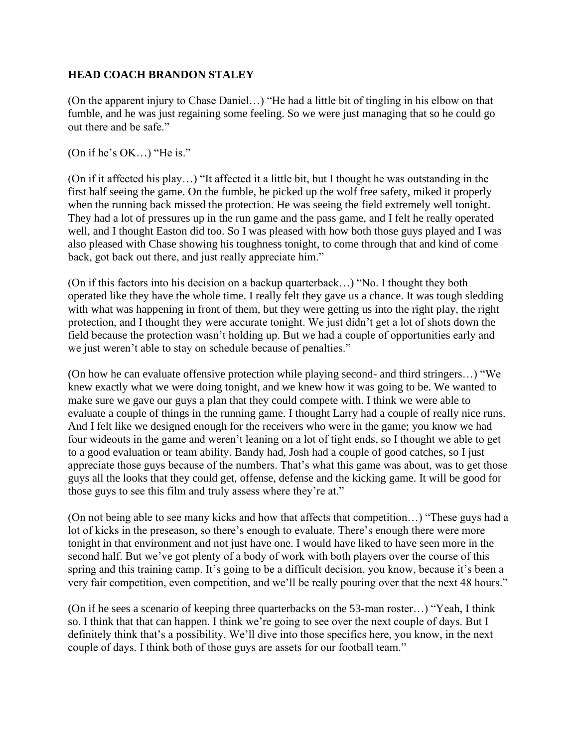## **HEAD COACH BRANDON STALEY**

(On the apparent injury to Chase Daniel…) "He had a little bit of tingling in his elbow on that fumble, and he was just regaining some feeling. So we were just managing that so he could go out there and be safe."

(On if he's OK…) "He is."

(On if it affected his play…) "It affected it a little bit, but I thought he was outstanding in the first half seeing the game. On the fumble, he picked up the wolf free safety, miked it properly when the running back missed the protection. He was seeing the field extremely well tonight. They had a lot of pressures up in the run game and the pass game, and I felt he really operated well, and I thought Easton did too. So I was pleased with how both those guys played and I was also pleased with Chase showing his toughness tonight, to come through that and kind of come back, got back out there, and just really appreciate him."

(On if this factors into his decision on a backup quarterback…) "No. I thought they both operated like they have the whole time. I really felt they gave us a chance. It was tough sledding with what was happening in front of them, but they were getting us into the right play, the right protection, and I thought they were accurate tonight. We just didn't get a lot of shots down the field because the protection wasn't holding up. But we had a couple of opportunities early and we just weren't able to stay on schedule because of penalties."

(On how he can evaluate offensive protection while playing second- and third stringers…) "We knew exactly what we were doing tonight, and we knew how it was going to be. We wanted to make sure we gave our guys a plan that they could compete with. I think we were able to evaluate a couple of things in the running game. I thought Larry had a couple of really nice runs. And I felt like we designed enough for the receivers who were in the game; you know we had four wideouts in the game and weren't leaning on a lot of tight ends, so I thought we able to get to a good evaluation or team ability. Bandy had, Josh had a couple of good catches, so I just appreciate those guys because of the numbers. That's what this game was about, was to get those guys all the looks that they could get, offense, defense and the kicking game. It will be good for those guys to see this film and truly assess where they're at."

(On not being able to see many kicks and how that affects that competition…) "These guys had a lot of kicks in the preseason, so there's enough to evaluate. There's enough there were more tonight in that environment and not just have one. I would have liked to have seen more in the second half. But we've got plenty of a body of work with both players over the course of this spring and this training camp. It's going to be a difficult decision, you know, because it's been a very fair competition, even competition, and we'll be really pouring over that the next 48 hours."

(On if he sees a scenario of keeping three quarterbacks on the 53-man roster…) "Yeah, I think so. I think that that can happen. I think we're going to see over the next couple of days. But I definitely think that's a possibility. We'll dive into those specifics here, you know, in the next couple of days. I think both of those guys are assets for our football team."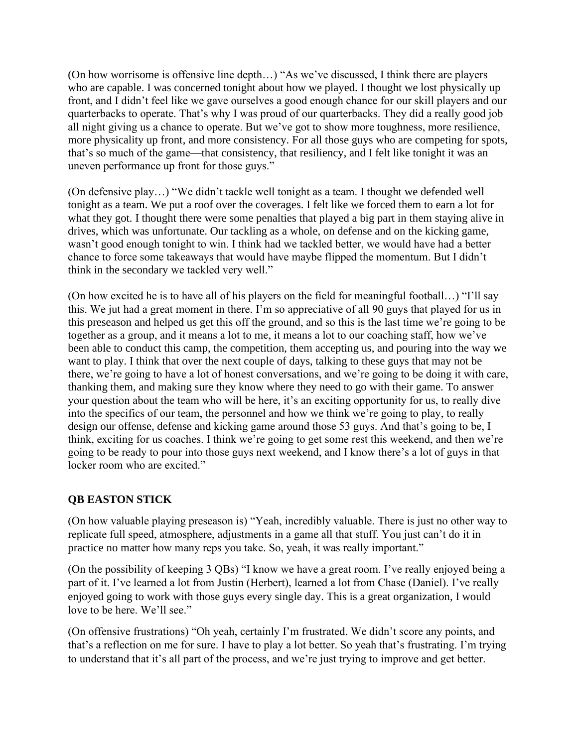(On how worrisome is offensive line depth…) "As we've discussed, I think there are players who are capable. I was concerned tonight about how we played. I thought we lost physically up front, and I didn't feel like we gave ourselves a good enough chance for our skill players and our quarterbacks to operate. That's why I was proud of our quarterbacks. They did a really good job all night giving us a chance to operate. But we've got to show more toughness, more resilience, more physicality up front, and more consistency. For all those guys who are competing for spots, that's so much of the game—that consistency, that resiliency, and I felt like tonight it was an uneven performance up front for those guys."

(On defensive play…) "We didn't tackle well tonight as a team. I thought we defended well tonight as a team. We put a roof over the coverages. I felt like we forced them to earn a lot for what they got. I thought there were some penalties that played a big part in them staying alive in drives, which was unfortunate. Our tackling as a whole, on defense and on the kicking game, wasn't good enough tonight to win. I think had we tackled better, we would have had a better chance to force some takeaways that would have maybe flipped the momentum. But I didn't think in the secondary we tackled very well."

(On how excited he is to have all of his players on the field for meaningful football…) "I'll say this. We jut had a great moment in there. I'm so appreciative of all 90 guys that played for us in this preseason and helped us get this off the ground, and so this is the last time we're going to be together as a group, and it means a lot to me, it means a lot to our coaching staff, how we've been able to conduct this camp, the competition, them accepting us, and pouring into the way we want to play. I think that over the next couple of days, talking to these guys that may not be there, we're going to have a lot of honest conversations, and we're going to be doing it with care, thanking them, and making sure they know where they need to go with their game. To answer your question about the team who will be here, it's an exciting opportunity for us, to really dive into the specifics of our team, the personnel and how we think we're going to play, to really design our offense, defense and kicking game around those 53 guys. And that's going to be, I think, exciting for us coaches. I think we're going to get some rest this weekend, and then we're going to be ready to pour into those guys next weekend, and I know there's a lot of guys in that locker room who are excited."

## **QB EASTON STICK**

(On how valuable playing preseason is) "Yeah, incredibly valuable. There is just no other way to replicate full speed, atmosphere, adjustments in a game all that stuff. You just can't do it in practice no matter how many reps you take. So, yeah, it was really important."

(On the possibility of keeping 3 QBs) "I know we have a great room. I've really enjoyed being a part of it. I've learned a lot from Justin (Herbert), learned a lot from Chase (Daniel). I've really enjoyed going to work with those guys every single day. This is a great organization, I would love to be here. We'll see."

(On offensive frustrations) "Oh yeah, certainly I'm frustrated. We didn't score any points, and that's a reflection on me for sure. I have to play a lot better. So yeah that's frustrating. I'm trying to understand that it's all part of the process, and we're just trying to improve and get better.